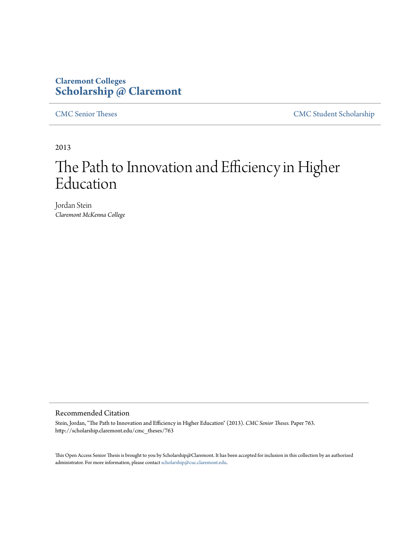### **Claremont Colleges [Scholarship @ Claremont](http://scholarship.claremont.edu)**

[CMC Senior Theses](http://scholarship.claremont.edu/cmc_theses) [CMC Student Scholarship](http://scholarship.claremont.edu/cmc_student)

2013

# The Path to Innovation and Efficiency in Higher Education

Jordan Stein *Claremont McKenna College*

#### Recommended Citation

Stein, Jordan, "The Path to Innovation and Efficiency in Higher Education" (2013). *CMC Senior Theses.* Paper 763. http://scholarship.claremont.edu/cmc\_theses/763

This Open Access Senior Thesis is brought to you by Scholarship@Claremont. It has been accepted for inclusion in this collection by an authorized administrator. For more information, please contact [scholarship@cuc.claremont.edu.](mailto:scholarship@cuc.claremont.edu)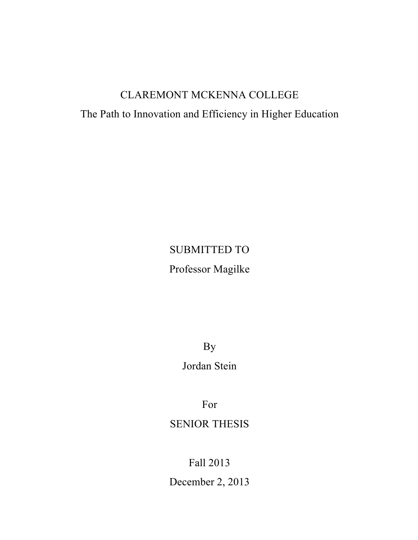# CLAREMONT MCKENNA COLLEGE

# The Path to Innovation and Efficiency in Higher Education

# SUBMITTED TO

Professor Magilke

By

Jordan Stein

For

# SENIOR THESIS

Fall 2013

December 2, 2013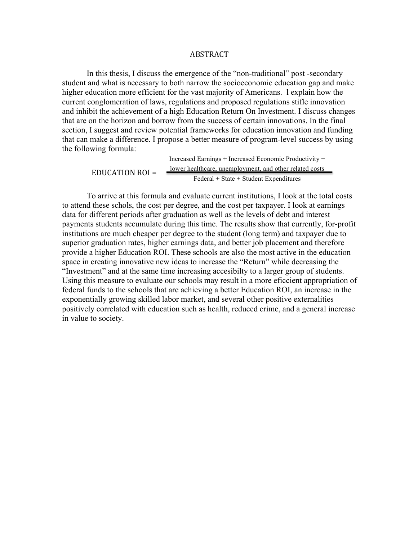#### ABSTRACT

In this thesis, I discuss the emergence of the "non-traditional" post -secondary student and what is necessary to both narrow the socioeconomic education gap and make higher education more efficient for the vast majority of Americans. l explain how the current conglomeration of laws, regulations and proposed regulations stifle innovation and inhibit the achievement of a high Education Return On Investment. I discuss changes that are on the horizon and borrow from the success of certain innovations. In the final section, I suggest and review potential frameworks for education innovation and funding that can make a difference. I propose a better measure of program-level success by using the following formula:

> Increased Earnings + Increased Economic Productivity + lower healthcare, unemployment, and other related costs Federal + State + Student Expenditures EDUCATION  $ROI =$

To arrive at this formula and evaluate current institutions, I look at the total costs to attend these schols, the cost per degree, and the cost per taxpayer. I look at earnings data for different periods after graduation as well as the levels of debt and interest payments students accumulate during this time. The results show that currently, for-profit institutions are much cheaper per degree to the student (long term) and taxpayer due to superior graduation rates, higher earnings data, and better job placement and therefore provide a higher Education ROI. These schools are also the most active in the education space in creating innovative new ideas to increase the "Return" while decreasing the "Investment" and at the same time increasing accesibilty to a larger group of students. Using this measure to evaluate our schools may result in a more eficcient appropriation of federal funds to the schools that are achieving a better Education ROI, an increase in the exponentially growing skilled labor market, and several other positive externalities positively correlated with education such as health, reduced crime, and a general increase in value to society.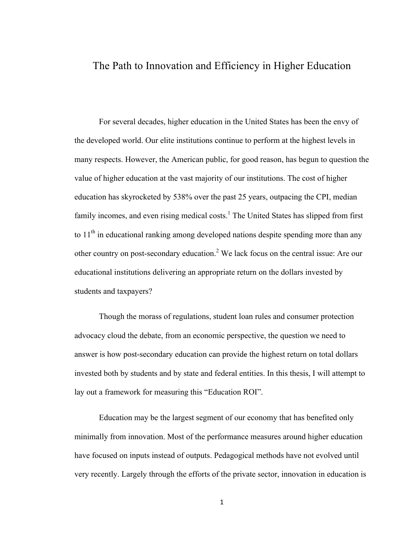#### The Path to Innovation and Efficiency in Higher Education

For several decades, higher education in the United States has been the envy of the developed world. Our elite institutions continue to perform at the highest levels in many respects. However, the American public, for good reason, has begun to question the value of higher education at the vast majority of our institutions. The cost of higher education has skyrocketed by 538% over the past 25 years, outpacing the CPI, median family incomes, and even rising medical costs.<sup>1</sup> The United States has slipped from first to  $11<sup>th</sup>$  in educational ranking among developed nations despite spending more than any other country on post-secondary education.<sup>2</sup> We lack focus on the central issue: Are our educational institutions delivering an appropriate return on the dollars invested by students and taxpayers?

Though the morass of regulations, student loan rules and consumer protection advocacy cloud the debate, from an economic perspective, the question we need to answer is how post-secondary education can provide the highest return on total dollars invested both by students and by state and federal entities. In this thesis, I will attempt to lay out a framework for measuring this "Education ROI".

Education may be the largest segment of our economy that has benefited only minimally from innovation. Most of the performance measures around higher education have focused on inputs instead of outputs. Pedagogical methods have not evolved until very recently. Largely through the efforts of the private sector, innovation in education is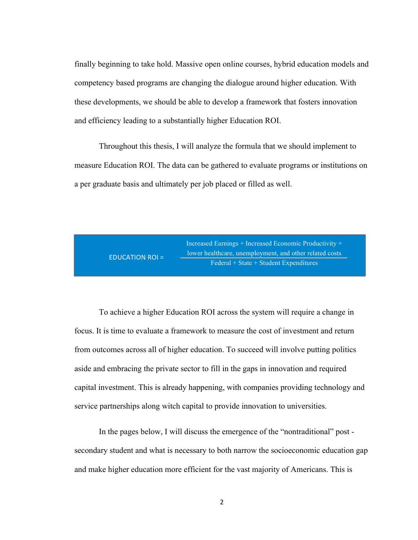finally beginning to take hold. Massive open online courses, hybrid education models and competency based programs are changing the dialogue around higher education. With these developments, we should be able to develop a framework that fosters innovation and efficiency leading to a substantially higher Education ROI.

Throughout this thesis, I will analyze the formula that we should implement to measure Education ROI. The data can be gathered to evaluate programs or institutions on a per graduate basis and ultimately per job placed or filled as well.



To achieve a higher Education ROI across the system will require a change in focus. It is time to evaluate a framework to measure the cost of investment and return from outcomes across all of higher education. To succeed will involve putting politics aside and embracing the private sector to fill in the gaps in innovation and required capital investment. This is already happening, with companies providing technology and service partnerships along witch capital to provide innovation to universities.

In the pages below, I will discuss the emergence of the "nontraditional" post secondary student and what is necessary to both narrow the socioeconomic education gap and make higher education more efficient for the vast majority of Americans. This is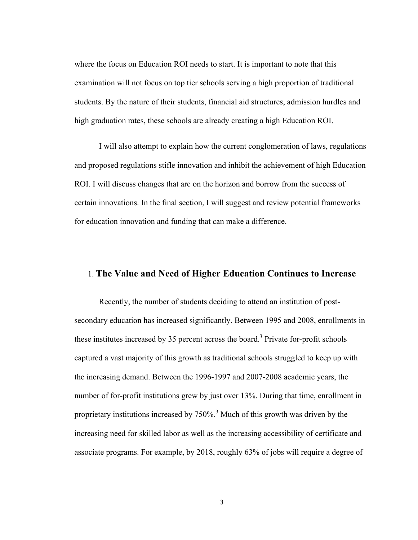where the focus on Education ROI needs to start. It is important to note that this examination will not focus on top tier schools serving a high proportion of traditional students. By the nature of their students, financial aid structures, admission hurdles and high graduation rates, these schools are already creating a high Education ROI.

I will also attempt to explain how the current conglomeration of laws, regulations and proposed regulations stifle innovation and inhibit the achievement of high Education ROI. I will discuss changes that are on the horizon and borrow from the success of certain innovations. In the final section, I will suggest and review potential frameworks for education innovation and funding that can make a difference.

#### 1. **The Value and Need of Higher Education Continues to Increase**

Recently, the number of students deciding to attend an institution of postsecondary education has increased significantly. Between 1995 and 2008, enrollments in these institutes increased by 35 percent across the board.<sup>3</sup> Private for-profit schools captured a vast majority of this growth as traditional schools struggled to keep up with the increasing demand. Between the 1996-1997 and 2007-2008 academic years, the number of for-profit institutions grew by just over 13%. During that time, enrollment in proprietary institutions increased by  $750\%$ <sup>3</sup> Much of this growth was driven by the increasing need for skilled labor as well as the increasing accessibility of certificate and associate programs. For example, by 2018, roughly 63% of jobs will require a degree of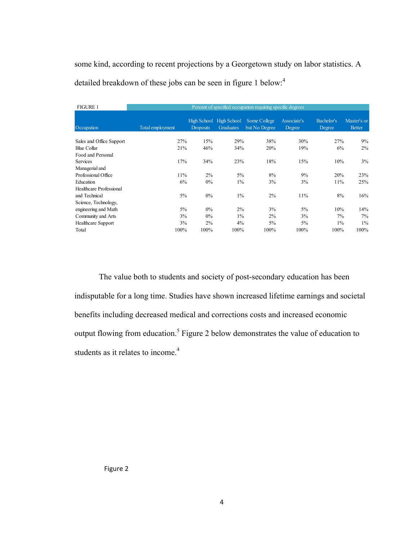some kind, according to recent projections by a Georgetown study on labor statistics. A detailed breakdown of these jobs can be seen in figure 1 below:<sup>4</sup>

| <b>FIGURE 1</b>          | Percent of specified occupation requiring specific degrees |                 |                                      |                               |                       |                      |                              |
|--------------------------|------------------------------------------------------------|-----------------|--------------------------------------|-------------------------------|-----------------------|----------------------|------------------------------|
| Occupation               | Total employment                                           | <b>Dropouts</b> | High School High School<br>Graduates | Some College<br>but No Degree | Associate's<br>Degree | Bachelor's<br>Degree | Master's or<br><b>Better</b> |
| Sales and Office Support | 27%                                                        | 15%             | 29%                                  | 38%                           | 30%                   | 27%                  | 9%                           |
| <b>Blue Collar</b>       | 21%                                                        | 46%             | 34%                                  | 20%                           | 19%                   | 6%                   | $2\%$                        |
| Food and Personal        |                                                            |                 |                                      |                               |                       |                      |                              |
| <b>Services</b>          | 17%                                                        | 34%             | 23%                                  | 18%                           | 15%                   | 10%                  | 3%                           |
| Managerial and           |                                                            |                 |                                      |                               |                       |                      |                              |
| Professional Office      | 11%                                                        | 2%              | $5\%$                                | 8%                            | 9%                    | 20%                  | 23%                          |
| Education                | 6%                                                         | 0%              | $1\%$                                | 3%                            | 3%                    | 11%                  | 25%                          |
| Healthcare Professional  |                                                            |                 |                                      |                               |                       |                      |                              |
| and Technical            | 5%                                                         | 0%              | $1\%$                                | 2%                            | 11%                   | 8%                   | 16%                          |
| Science, Technology,     |                                                            |                 |                                      |                               |                       |                      |                              |
| engineering and Math     | 5%                                                         | 0%              | $2\%$                                | 3%                            | 5%                    | 10%                  | 14%                          |
| Community and Arts       | 3%                                                         | $0\%$           | $1\%$                                | 2%                            | 3%                    | 7%                   | 7%                           |
| Healthcare Support       | 3%                                                         | 2%              | $4\%$                                | 5%                            | $5\%$                 | $1\%$                | $1\%$                        |
| Total                    | 100%                                                       | 100%            | 100%                                 | 100%                          | 100%                  | 100%                 | 100%                         |

The value both to students and society of post-secondary education has been indisputable for a long time. Studies have shown increased lifetime earnings and societal benefits including decreased medical and corrections costs and increased economic output flowing from education.<sup>5</sup> Figure 2 below demonstrates the value of education to students as it relates to income. 4

Figure 2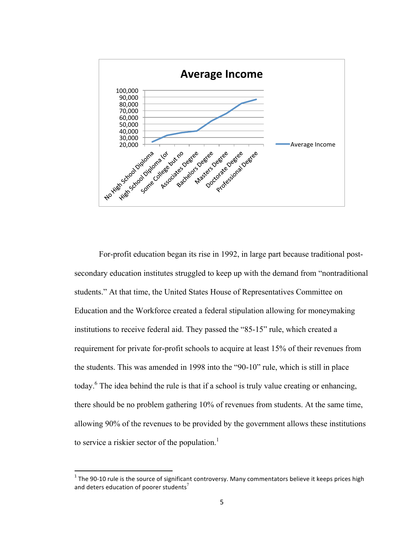

For-profit education began its rise in 1992, in large part because traditional postsecondary education institutes struggled to keep up with the demand from "nontraditional students." At that time, the United States House of Representatives Committee on Education and the Workforce created a federal stipulation allowing for moneymaking institutions to receive federal aid. They passed the "85-15" rule, which created a requirement for private for-profit schools to acquire at least 15% of their revenues from the students. This was amended in 1998 into the "90-10" rule, which is still in place today.<sup>6</sup> The idea behind the rule is that if a school is truly value creating or enhancing, there should be no problem gathering 10% of revenues from students. At the same time, allowing 90% of the revenues to be provided by the government allows these institutions to service a riskier sector of the population.<sup>1</sup>

<u> 1989 - Johann Stein, fransk politik (d. 1989)</u>

 $1$  The 90-10 rule is the source of significant controversy. Many commentators believe it keeps prices high and deters education of poorer students<sup>7</sup>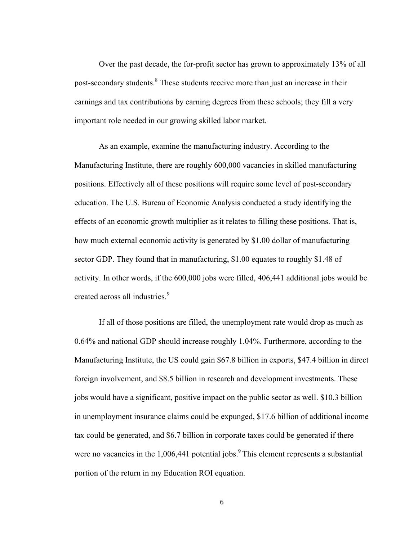Over the past decade, the for-profit sector has grown to approximately 13% of all post-secondary students.<sup>8</sup> These students receive more than just an increase in their earnings and tax contributions by earning degrees from these schools; they fill a very important role needed in our growing skilled labor market.

As an example, examine the manufacturing industry. According to the Manufacturing Institute, there are roughly 600,000 vacancies in skilled manufacturing positions. Effectively all of these positions will require some level of post-secondary education. The U.S. Bureau of Economic Analysis conducted a study identifying the effects of an economic growth multiplier as it relates to filling these positions. That is, how much external economic activity is generated by \$1.00 dollar of manufacturing sector GDP. They found that in manufacturing, \$1.00 equates to roughly \$1.48 of activity. In other words, if the 600,000 jobs were filled, 406,441 additional jobs would be created across all industries.<sup>9</sup>

If all of those positions are filled, the unemployment rate would drop as much as 0.64% and national GDP should increase roughly 1.04%. Furthermore, according to the Manufacturing Institute, the US could gain \$67.8 billion in exports, \$47.4 billion in direct foreign involvement, and \$8.5 billion in research and development investments. These jobs would have a significant, positive impact on the public sector as well. \$10.3 billion in unemployment insurance claims could be expunged, \$17.6 billion of additional income tax could be generated, and \$6.7 billion in corporate taxes could be generated if there were no vacancies in the  $1,006,441$  potential jobs.<sup>9</sup> This element represents a substantial portion of the return in my Education ROI equation.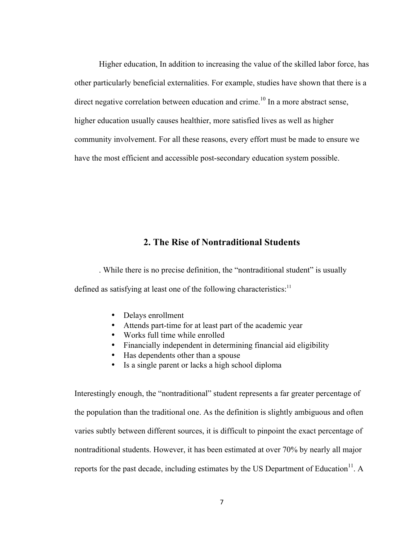Higher education, In addition to increasing the value of the skilled labor force, has other particularly beneficial externalities. For example, studies have shown that there is a direct negative correlation between education and crime.<sup>10</sup> In a more abstract sense, higher education usually causes healthier, more satisfied lives as well as higher community involvement. For all these reasons, every effort must be made to ensure we have the most efficient and accessible post-secondary education system possible.

#### **2. The Rise of Nontraditional Students**

. While there is no precise definition, the "nontraditional student" is usually defined as satisfying at least one of the following characteristics: $11$ 

- Delays enrollment
- Attends part-time for at least part of the academic year
- Works full time while enrolled
- Financially independent in determining financial aid eligibility
- Has dependents other than a spouse
- Is a single parent or lacks a high school diploma

Interestingly enough, the "nontraditional" student represents a far greater percentage of the population than the traditional one. As the definition is slightly ambiguous and often varies subtly between different sources, it is difficult to pinpoint the exact percentage of nontraditional students. However, it has been estimated at over 70% by nearly all major reports for the past decade, including estimates by the US Department of Education $<sup>11</sup>$ . A</sup>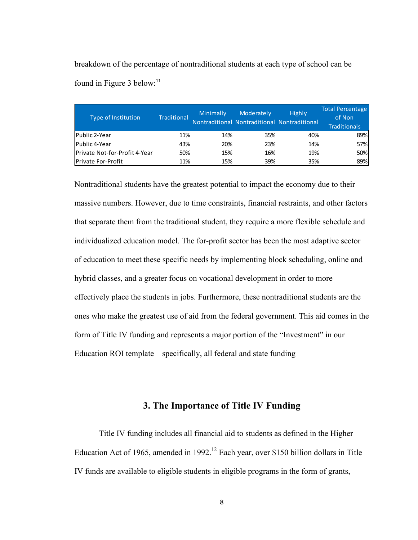breakdown of the percentage of nontraditional students at each type of school can be found in Figure 3 below: $11$ 

| Type of Institution           | <b>Traditional</b> | Minimally | Moderately<br>Nontraditional Nontraditional Nontraditional | <b>Highly</b> | Total Percentage<br>of Non<br><b>Traditionals</b> |
|-------------------------------|--------------------|-----------|------------------------------------------------------------|---------------|---------------------------------------------------|
| Public 2-Year                 | 11%                | 14%       | 35%                                                        | 40%           | 89%                                               |
| Public 4-Year                 | 43%                | 20%       | 23%                                                        | 14%           | <b>57%</b>                                        |
| Private Not-for-Profit 4-Year | 50%                | 15%       | 16%                                                        | 19%           | <b>50%</b>                                        |
| <b>Private For-Profit</b>     | 11%                | 15%       | 39%                                                        | 35%           | 89%                                               |

Nontraditional students have the greatest potential to impact the economy due to their massive numbers. However, due to time constraints, financial restraints, and other factors that separate them from the traditional student, they require a more flexible schedule and individualized education model. The for-profit sector has been the most adaptive sector of education to meet these specific needs by implementing block scheduling, online and hybrid classes, and a greater focus on vocational development in order to more effectively place the students in jobs. Furthermore, these nontraditional students are the ones who make the greatest use of aid from the federal government. This aid comes in the form of Title IV funding and represents a major portion of the "Investment" in our Education ROI template – specifically, all federal and state funding

#### **3. The Importance of Title IV Funding**

Title IV funding includes all financial aid to students as defined in the Higher Education Act of 1965, amended in 1992.<sup>12</sup> Each year, over \$150 billion dollars in Title IV funds are available to eligible students in eligible programs in the form of grants,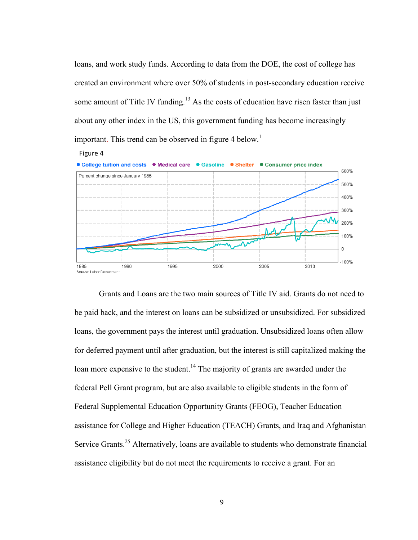loans, and work study funds. According to data from the DOE, the cost of college has created an environment where over 50% of students in post-secondary education receive some amount of Title IV funding.<sup>13</sup> As the costs of education have risen faster than just about any other index in the US, this government funding has become increasingly important. This trend can be observed in figure 4 below.<sup>1</sup>



Grants and Loans are the two main sources of Title IV aid. Grants do not need to be paid back, and the interest on loans can be subsidized or unsubsidized. For subsidized loans, the government pays the interest until graduation. Unsubsidized loans often allow for deferred payment until after graduation, but the interest is still capitalized making the loan more expensive to the student.<sup>14</sup> The majority of grants are awarded under the federal Pell Grant program, but are also available to eligible students in the form of Federal Supplemental Education Opportunity Grants (FEOG), Teacher Education assistance for College and Higher Education (TEACH) Grants, and Iraq and Afghanistan Service Grants.<sup>25</sup> Alternatively, loans are available to students who demonstrate financial assistance eligibility but do not meet the requirements to receive a grant. For an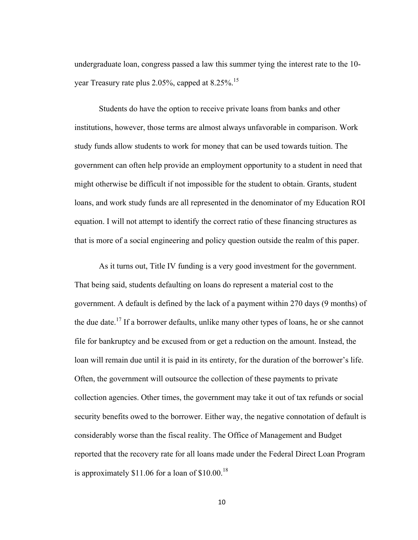undergraduate loan, congress passed a law this summer tying the interest rate to the 10 year Treasury rate plus  $2.05\%$ , capped at  $8.25\%$ .<sup>15</sup>

Students do have the option to receive private loans from banks and other institutions, however, those terms are almost always unfavorable in comparison. Work study funds allow students to work for money that can be used towards tuition. The government can often help provide an employment opportunity to a student in need that might otherwise be difficult if not impossible for the student to obtain. Grants, student loans, and work study funds are all represented in the denominator of my Education ROI equation. I will not attempt to identify the correct ratio of these financing structures as that is more of a social engineering and policy question outside the realm of this paper.

As it turns out, Title IV funding is a very good investment for the government. That being said, students defaulting on loans do represent a material cost to the government. A default is defined by the lack of a payment within 270 days (9 months) of the due date.<sup>17</sup> If a borrower defaults, unlike many other types of loans, he or she cannot file for bankruptcy and be excused from or get a reduction on the amount. Instead, the loan will remain due until it is paid in its entirety, for the duration of the borrower's life. Often, the government will outsource the collection of these payments to private collection agencies. Other times, the government may take it out of tax refunds or social security benefits owed to the borrower. Either way, the negative connotation of default is considerably worse than the fiscal reality. The Office of Management and Budget reported that the recovery rate for all loans made under the Federal Direct Loan Program is approximately  $$11.06$  for a loan of  $$10.00$ <sup>18</sup>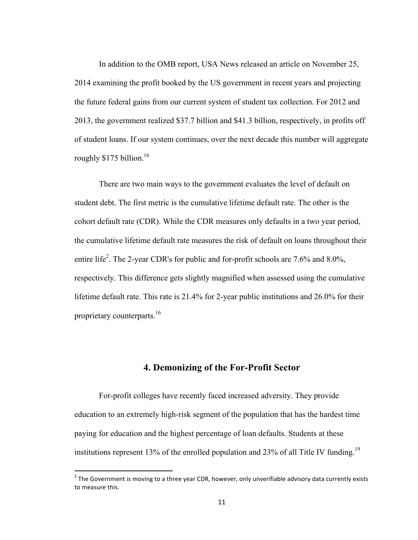In addition to the OMB report, USA News released an article on November 25, 2014 examining the profit booked by the US government in recent years and projecting the future federal gains from our current system of student tax collection. For 2012 and 2013, the government realized \$37.7 billion and \$41.3 billion, respectively, in profits off of student loans. If our system continues, over the next decade this number will aggregate roughly  $$175$  billion.<sup>16</sup>

There are two main ways to the government evaluates the level of default on student debt. The first metric is the cumulative lifetime default rate. The other is the cohort default rate (CDR). While the CDR measures only defaults in a two year period, the cumulative lifetime default rate measures the risk of default on loans throughout their entire life<sup>2</sup>. The 2-year CDR's for public and for-profit schools are 7.6% and 8.0%, respectively. This difference gets slightly magnified when assessed using the cumulative lifetime default rate. This rate is 21.4% for 2-year public institutions and 26.0% for their proprietary counterparts.<sup>16</sup>

#### **4. Demonizing of the For-Profit Sector**

For-profit colleges have recently faced increased adversity. They provide education to an extremely high-risk segment of the population that has the hardest time paying for education and the highest percentage of loan defaults. Students at these institutions represent 13% of the enrolled population and 23% of all Title IV funding.<sup>19</sup>

<u> 1989 - Johann Stein, fransk politik (d. 1989)</u>

 $2$  The Government is moving to a three year CDR, however, only unverifiable advisory data currently exists to measure this.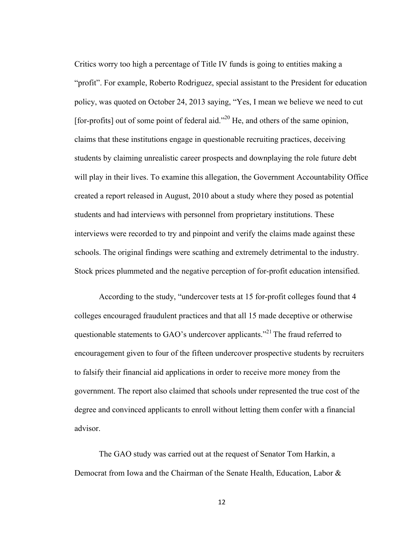Critics worry too high a percentage of Title IV funds is going to entities making a "profit". For example, Roberto Rodriguez, special assistant to the President for education policy, was quoted on October 24, 2013 saying, "Yes, I mean we believe we need to cut [for-profits] out of some point of federal aid."<sup>20</sup> He, and others of the same opinion, claims that these institutions engage in questionable recruiting practices, deceiving students by claiming unrealistic career prospects and downplaying the role future debt will play in their lives. To examine this allegation, the Government Accountability Office created a report released in August, 2010 about a study where they posed as potential students and had interviews with personnel from proprietary institutions. These interviews were recorded to try and pinpoint and verify the claims made against these schools. The original findings were scathing and extremely detrimental to the industry. Stock prices plummeted and the negative perception of for-profit education intensified.

According to the study, "undercover tests at 15 for-profit colleges found that 4 colleges encouraged fraudulent practices and that all 15 made deceptive or otherwise questionable statements to GAO's undercover applicants."<sup>21</sup> The fraud referred to encouragement given to four of the fifteen undercover prospective students by recruiters to falsify their financial aid applications in order to receive more money from the government. The report also claimed that schools under represented the true cost of the degree and convinced applicants to enroll without letting them confer with a financial advisor.

The GAO study was carried out at the request of Senator Tom Harkin, a Democrat from Iowa and the Chairman of the Senate Health, Education, Labor &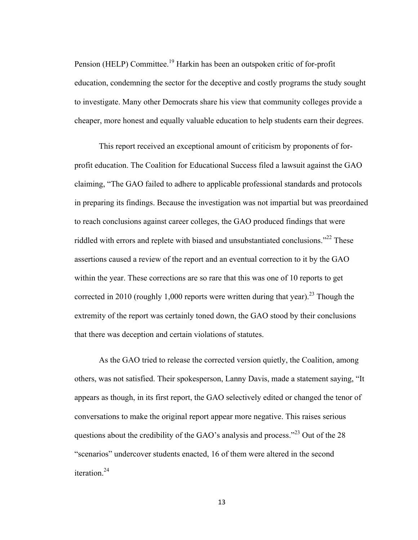Pension (HELP) Committee.<sup>19</sup> Harkin has been an outspoken critic of for-profit education, condemning the sector for the deceptive and costly programs the study sought to investigate. Many other Democrats share his view that community colleges provide a cheaper, more honest and equally valuable education to help students earn their degrees.

This report received an exceptional amount of criticism by proponents of forprofit education. The Coalition for Educational Success filed a lawsuit against the GAO claiming, "The GAO failed to adhere to applicable professional standards and protocols in preparing its findings. Because the investigation was not impartial but was preordained to reach conclusions against career colleges, the GAO produced findings that were riddled with errors and replete with biased and unsubstantiated conclusions.<sup>22</sup> These assertions caused a review of the report and an eventual correction to it by the GAO within the year. These corrections are so rare that this was one of 10 reports to get corrected in 2010 (roughly 1,000 reports were written during that year).<sup>23</sup> Though the extremity of the report was certainly toned down, the GAO stood by their conclusions that there was deception and certain violations of statutes.

As the GAO tried to release the corrected version quietly, the Coalition, among others, was not satisfied. Their spokesperson, Lanny Davis, made a statement saying, "It appears as though, in its first report, the GAO selectively edited or changed the tenor of conversations to make the original report appear more negative. This raises serious questions about the credibility of the GAO's analysis and process."<sup>23</sup> Out of the 28 "scenarios" undercover students enacted, 16 of them were altered in the second iteration.<sup>24</sup>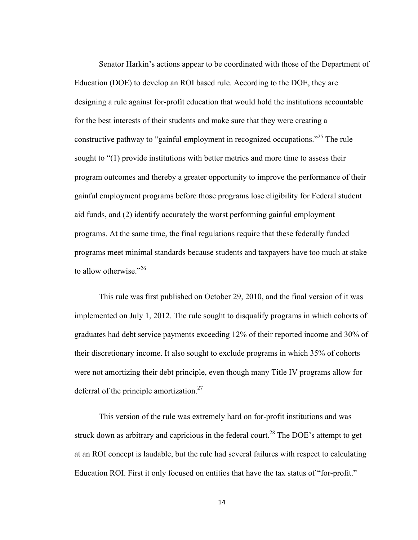Senator Harkin's actions appear to be coordinated with those of the Department of Education (DOE) to develop an ROI based rule. According to the DOE, they are designing a rule against for-profit education that would hold the institutions accountable for the best interests of their students and make sure that they were creating a constructive pathway to "gainful employment in recognized occupations."<sup>25</sup> The rule sought to "(1) provide institutions with better metrics and more time to assess their program outcomes and thereby a greater opportunity to improve the performance of their gainful employment programs before those programs lose eligibility for Federal student aid funds, and (2) identify accurately the worst performing gainful employment programs. At the same time, the final regulations require that these federally funded programs meet minimal standards because students and taxpayers have too much at stake to allow otherwise."<sup>26</sup>

This rule was first published on October 29, 2010, and the final version of it was implemented on July 1, 2012. The rule sought to disqualify programs in which cohorts of graduates had debt service payments exceeding 12% of their reported income and 30% of their discretionary income. It also sought to exclude programs in which 35% of cohorts were not amortizing their debt principle, even though many Title IV programs allow for deferral of the principle amortization.<sup>27</sup>

This version of the rule was extremely hard on for-profit institutions and was struck down as arbitrary and capricious in the federal court.<sup>28</sup> The DOE's attempt to get at an ROI concept is laudable, but the rule had several failures with respect to calculating Education ROI. First it only focused on entities that have the tax status of "for-profit."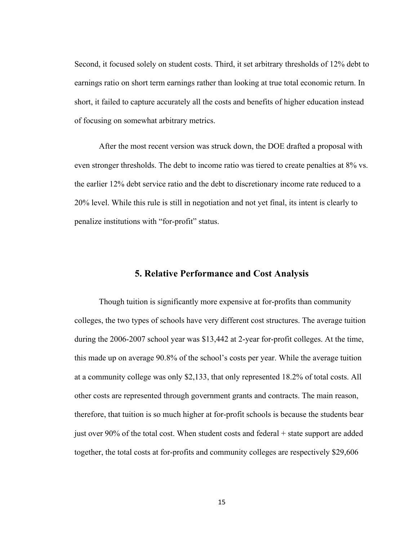Second, it focused solely on student costs. Third, it set arbitrary thresholds of 12% debt to earnings ratio on short term earnings rather than looking at true total economic return. In short, it failed to capture accurately all the costs and benefits of higher education instead of focusing on somewhat arbitrary metrics.

After the most recent version was struck down, the DOE drafted a proposal with even stronger thresholds. The debt to income ratio was tiered to create penalties at 8% vs. the earlier 12% debt service ratio and the debt to discretionary income rate reduced to a 20% level. While this rule is still in negotiation and not yet final, its intent is clearly to penalize institutions with "for-profit" status.

#### **5. Relative Performance and Cost Analysis**

Though tuition is significantly more expensive at for-profits than community colleges, the two types of schools have very different cost structures. The average tuition during the 2006-2007 school year was \$13,442 at 2-year for-profit colleges. At the time, this made up on average 90.8% of the school's costs per year. While the average tuition at a community college was only \$2,133, that only represented 18.2% of total costs. All other costs are represented through government grants and contracts. The main reason, therefore, that tuition is so much higher at for-profit schools is because the students bear just over 90% of the total cost. When student costs and federal + state support are added together, the total costs at for-profits and community colleges are respectively \$29,606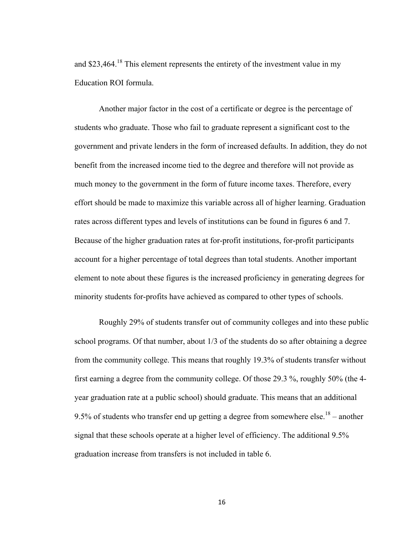and \$23,464.<sup>18</sup> This element represents the entirety of the investment value in my Education ROI formula.

Another major factor in the cost of a certificate or degree is the percentage of students who graduate. Those who fail to graduate represent a significant cost to the government and private lenders in the form of increased defaults. In addition, they do not benefit from the increased income tied to the degree and therefore will not provide as much money to the government in the form of future income taxes. Therefore, every effort should be made to maximize this variable across all of higher learning. Graduation rates across different types and levels of institutions can be found in figures 6 and 7. Because of the higher graduation rates at for-profit institutions, for-profit participants account for a higher percentage of total degrees than total students. Another important element to note about these figures is the increased proficiency in generating degrees for minority students for-profits have achieved as compared to other types of schools.

Roughly 29% of students transfer out of community colleges and into these public school programs. Of that number, about 1/3 of the students do so after obtaining a degree from the community college. This means that roughly 19.3% of students transfer without first earning a degree from the community college. Of those 29.3 %, roughly 50% (the 4 year graduation rate at a public school) should graduate. This means that an additional 9.5% of students who transfer end up getting a degree from somewhere else.<sup>18</sup> – another signal that these schools operate at a higher level of efficiency. The additional 9.5% graduation increase from transfers is not included in table 6.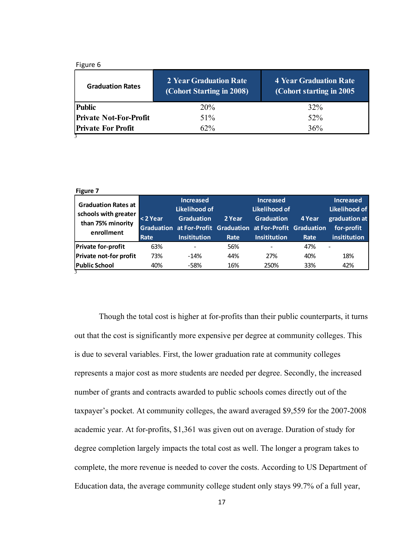| <b>Public</b><br>32%<br><b>20%</b><br><b>Private Not-For-Profit</b><br>52 <sup>%</sup><br>51% | Figure 6<br><b>Graduation Rates</b> | 2 Year Graduation Rate<br>(Cohort Starting in 2008) | <b>4 Year Graduation Rate</b><br>(Cohort starting in 2005) |
|-----------------------------------------------------------------------------------------------|-------------------------------------|-----------------------------------------------------|------------------------------------------------------------|
|                                                                                               |                                     |                                                     |                                                            |
|                                                                                               |                                     |                                                     |                                                            |
|                                                                                               | <b>Private For Profit</b>           | $62\%$                                              | 36%                                                        |

| Figure 7<br><b>Graduation Rates at</b><br>schools with greater<br>than 75% minority | <2 Year | <b>Increased</b><br>Likelihood of<br><b>Graduation</b>       | 2 Year | <b>Increased</b><br>Likelihood of<br><b>Graduation</b> | 4 Year | <b>Increased</b><br>Likelihood of<br>graduation at |
|-------------------------------------------------------------------------------------|---------|--------------------------------------------------------------|--------|--------------------------------------------------------|--------|----------------------------------------------------|
| enrollment                                                                          |         | Graduation at For-Profit Graduation at For-Profit Graduation |        |                                                        |        | for-profit                                         |
|                                                                                     | Rate    | <b>Insititution</b>                                          | Rate   | <b>Insititution</b>                                    | Rate   | insititution                                       |
| <b>Private for-profit</b>                                                           | 63%     | $\overline{\phantom{0}}$                                     | 56%    | ۰                                                      | 47%    | $\overline{\phantom{a}}$                           |
| Private not-for profit                                                              | 73%     | $-14%$                                                       | 44%    | 27%                                                    | 40%    | 18%                                                |
| <b>Public School</b>                                                                | 40%     | -58%                                                         | 16%    | 250%                                                   | 33%    | 42%                                                |
|                                                                                     |         |                                                              |        |                                                        |        |                                                    |

Though the total cost is higher at for-profits than their public counterparts, it turns out that the cost is significantly more expensive per degree at community colleges. This is due to several variables. First, the lower graduation rate at community colleges represents a major cost as more students are needed per degree. Secondly, the increased number of grants and contracts awarded to public schools comes directly out of the taxpayer's pocket. At community colleges, the award averaged \$9,559 for the 2007-2008 academic year. At for-profits, \$1,361 was given out on average. Duration of study for degree completion largely impacts the total cost as well. The longer a program takes to complete, the more revenue is needed to cover the costs. According to US Department of Education data, the average community college student only stays 99.7% of a full year,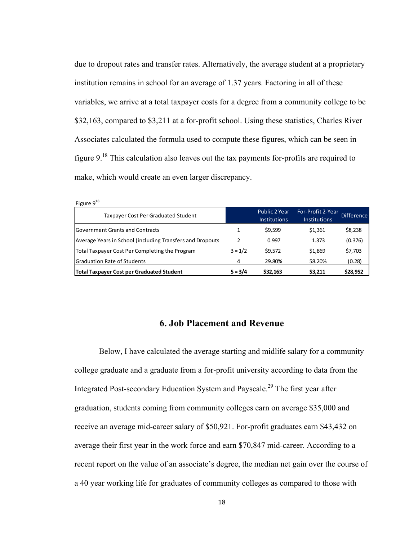due to dropout rates and transfer rates. Alternatively, the average student at a proprietary institution remains in school for an average of 1.37 years. Factoring in all of these variables, we arrive at a total taxpayer costs for a degree from a community college to be \$32,163, compared to \$3,211 at a for-profit school. Using these statistics, Charles River Associates calculated the formula used to compute these figures, which can be seen in figure  $9<sup>18</sup>$ . This calculation also leaves out the tax payments for-profits are required to make, which would create an even larger discrepancy.

| Figure $9^{18}$                                           |           |                                      |                                          |                   |
|-----------------------------------------------------------|-----------|--------------------------------------|------------------------------------------|-------------------|
| Taxpayer Cost Per Graduated Student                       |           | Public 2 Year<br><b>Institutions</b> | For-Profit 2-Year<br><b>Institutions</b> | <b>Difference</b> |
| <b>Government Grants and Contracts</b>                    |           | \$9,599                              | \$1,361                                  | \$8,238           |
| Average Years in School (including Transfers and Dropouts | 2         | 0.997                                | 1.373                                    | (0.376)           |
| Total Taxpayer Cost Per Completing the Program            | $3 = 1/2$ | \$9,572                              | \$1,869                                  | \$7,703           |
| <b>Graduation Rate of Students</b>                        | 4         | 29.80%                               | 58.20%                                   | (0.28)            |
| <b>Total Taxpayer Cost per Graduated Student</b>          | $5 = 3/4$ | \$32,163                             | \$3,211                                  | \$28,952          |

#### **6. Job Placement and Revenue**

Below, I have calculated the average starting and midlife salary for a community college graduate and a graduate from a for-profit university according to data from the Integrated Post-secondary Education System and Payscale.<sup>29</sup> The first year after graduation, students coming from community colleges earn on average \$35,000 and receive an average mid-career salary of \$50,921. For-profit graduates earn \$43,432 on average their first year in the work force and earn \$70,847 mid-career. According to a recent report on the value of an associate's degree, the median net gain over the course of a 40 year working life for graduates of community colleges as compared to those with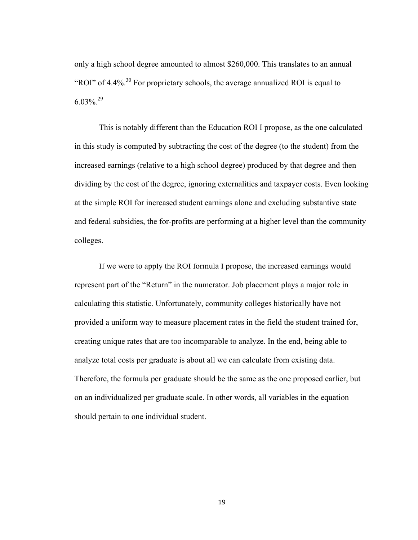only a high school degree amounted to almost \$260,000. This translates to an annual "ROI" of  $4.4\%$ <sup>30</sup> For proprietary schools, the average annualized ROI is equal to  $6.03\%$ <sup>29</sup>

This is notably different than the Education ROI I propose, as the one calculated in this study is computed by subtracting the cost of the degree (to the student) from the increased earnings (relative to a high school degree) produced by that degree and then dividing by the cost of the degree, ignoring externalities and taxpayer costs. Even looking at the simple ROI for increased student earnings alone and excluding substantive state and federal subsidies, the for-profits are performing at a higher level than the community colleges.

If we were to apply the ROI formula I propose, the increased earnings would represent part of the "Return" in the numerator. Job placement plays a major role in calculating this statistic. Unfortunately, community colleges historically have not provided a uniform way to measure placement rates in the field the student trained for, creating unique rates that are too incomparable to analyze. In the end, being able to analyze total costs per graduate is about all we can calculate from existing data. Therefore, the formula per graduate should be the same as the one proposed earlier, but on an individualized per graduate scale. In other words, all variables in the equation should pertain to one individual student.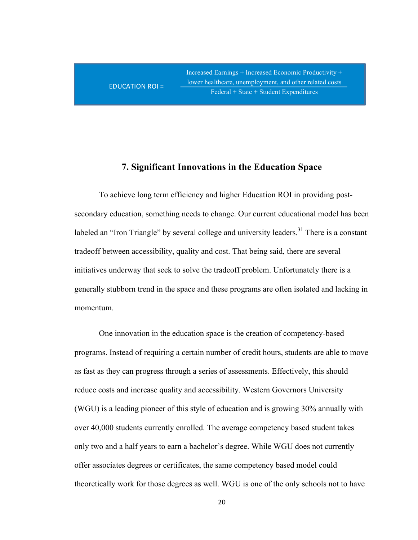$\text{EDUCATION ROI} =$ 

Increased Earnings + Increased Economic Productivity + lower healthcare, unemployment, and other related costs Federal + State + Student Expenditures

#### **7. Significant Innovations in the Education Space**

To achieve long term efficiency and higher Education ROI in providing postsecondary education, something needs to change. Our current educational model has been labeled an "Iron Triangle" by several college and university leaders.<sup>31</sup> There is a constant tradeoff between accessibility, quality and cost. That being said, there are several initiatives underway that seek to solve the tradeoff problem. Unfortunately there is a generally stubborn trend in the space and these programs are often isolated and lacking in momentum.

One innovation in the education space is the creation of competency-based programs. Instead of requiring a certain number of credit hours, students are able to move as fast as they can progress through a series of assessments. Effectively, this should reduce costs and increase quality and accessibility. Western Governors University (WGU) is a leading pioneer of this style of education and is growing 30% annually with over 40,000 students currently enrolled. The average competency based student takes only two and a half years to earn a bachelor's degree. While WGU does not currently offer associates degrees or certificates, the same competency based model could theoretically work for those degrees as well. WGU is one of the only schools not to have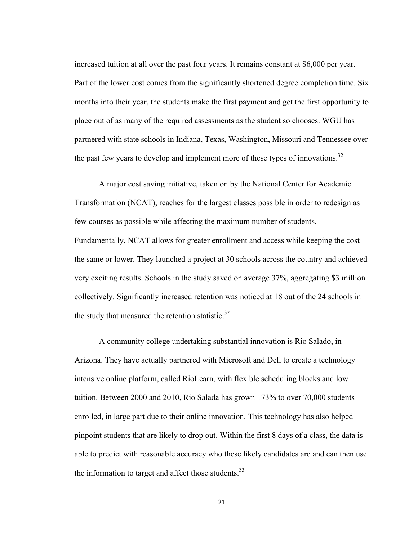increased tuition at all over the past four years. It remains constant at \$6,000 per year. Part of the lower cost comes from the significantly shortened degree completion time. Six months into their year, the students make the first payment and get the first opportunity to place out of as many of the required assessments as the student so chooses. WGU has partnered with state schools in Indiana, Texas, Washington, Missouri and Tennessee over the past few years to develop and implement more of these types of innovations.<sup>32</sup>

A major cost saving initiative, taken on by the National Center for Academic Transformation (NCAT), reaches for the largest classes possible in order to redesign as few courses as possible while affecting the maximum number of students. Fundamentally, NCAT allows for greater enrollment and access while keeping the cost the same or lower. They launched a project at 30 schools across the country and achieved very exciting results. Schools in the study saved on average 37%, aggregating \$3 million collectively. Significantly increased retention was noticed at 18 out of the 24 schools in the study that measured the retention statistic. $32$ 

A community college undertaking substantial innovation is Rio Salado, in Arizona. They have actually partnered with Microsoft and Dell to create a technology intensive online platform, called RioLearn, with flexible scheduling blocks and low tuition. Between 2000 and 2010, Rio Salada has grown 173% to over 70,000 students enrolled, in large part due to their online innovation. This technology has also helped pinpoint students that are likely to drop out. Within the first 8 days of a class, the data is able to predict with reasonable accuracy who these likely candidates are and can then use the information to target and affect those students. $33$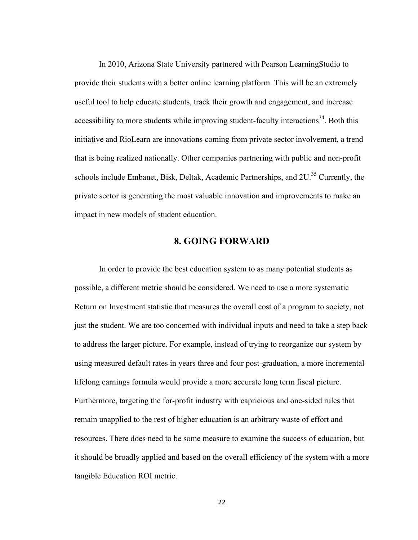In 2010, Arizona State University partnered with Pearson LearningStudio to provide their students with a better online learning platform. This will be an extremely useful tool to help educate students, track their growth and engagement, and increase accessibility to more students while improving student-faculty interactions<sup>34</sup>. Both this initiative and RioLearn are innovations coming from private sector involvement, a trend that is being realized nationally. Other companies partnering with public and non-profit schools include Embanet, Bisk, Deltak, Academic Partnerships, and  $2U<sup>35</sup>$  Currently, the private sector is generating the most valuable innovation and improvements to make an impact in new models of student education.

#### **8. GOING FORWARD**

In order to provide the best education system to as many potential students as possible, a different metric should be considered. We need to use a more systematic Return on Investment statistic that measures the overall cost of a program to society, not just the student. We are too concerned with individual inputs and need to take a step back to address the larger picture. For example, instead of trying to reorganize our system by using measured default rates in years three and four post-graduation, a more incremental lifelong earnings formula would provide a more accurate long term fiscal picture. Furthermore, targeting the for-profit industry with capricious and one-sided rules that remain unapplied to the rest of higher education is an arbitrary waste of effort and resources. There does need to be some measure to examine the success of education, but it should be broadly applied and based on the overall efficiency of the system with a more tangible Education ROI metric.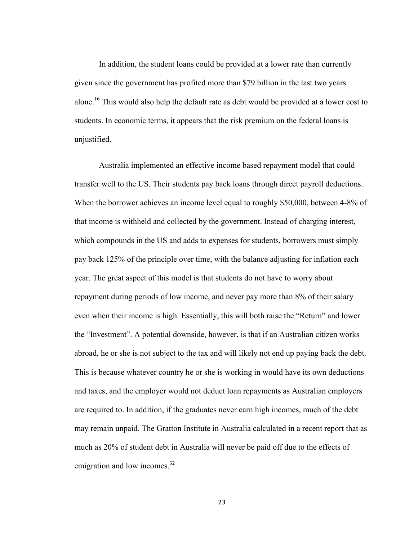In addition, the student loans could be provided at a lower rate than currently given since the government has profited more than \$79 billion in the last two years alone.<sup>16</sup> This would also help the default rate as debt would be provided at a lower cost to students. In economic terms, it appears that the risk premium on the federal loans is unjustified.

Australia implemented an effective income based repayment model that could transfer well to the US. Their students pay back loans through direct payroll deductions. When the borrower achieves an income level equal to roughly \$50,000, between 4-8% of that income is withheld and collected by the government. Instead of charging interest, which compounds in the US and adds to expenses for students, borrowers must simply pay back 125% of the principle over time, with the balance adjusting for inflation each year. The great aspect of this model is that students do not have to worry about repayment during periods of low income, and never pay more than 8% of their salary even when their income is high. Essentially, this will both raise the "Return" and lower the "Investment". A potential downside, however, is that if an Australian citizen works abroad, he or she is not subject to the tax and will likely not end up paying back the debt. This is because whatever country he or she is working in would have its own deductions and taxes, and the employer would not deduct loan repayments as Australian employers are required to. In addition, if the graduates never earn high incomes, much of the debt may remain unpaid. The Gratton Institute in Australia calculated in a recent report that as much as 20% of student debt in Australia will never be paid off due to the effects of emigration and low incomes.<sup>32</sup>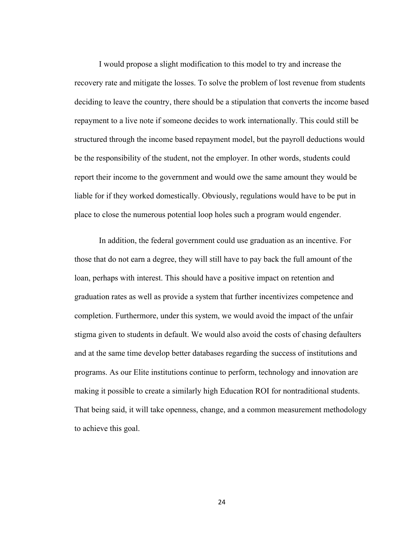I would propose a slight modification to this model to try and increase the recovery rate and mitigate the losses. To solve the problem of lost revenue from students deciding to leave the country, there should be a stipulation that converts the income based repayment to a live note if someone decides to work internationally. This could still be structured through the income based repayment model, but the payroll deductions would be the responsibility of the student, not the employer. In other words, students could report their income to the government and would owe the same amount they would be liable for if they worked domestically. Obviously, regulations would have to be put in place to close the numerous potential loop holes such a program would engender.

In addition, the federal government could use graduation as an incentive. For those that do not earn a degree, they will still have to pay back the full amount of the loan, perhaps with interest. This should have a positive impact on retention and graduation rates as well as provide a system that further incentivizes competence and completion. Furthermore, under this system, we would avoid the impact of the unfair stigma given to students in default. We would also avoid the costs of chasing defaulters and at the same time develop better databases regarding the success of institutions and programs. As our Elite institutions continue to perform, technology and innovation are making it possible to create a similarly high Education ROI for nontraditional students. That being said, it will take openness, change, and a common measurement methodology to achieve this goal.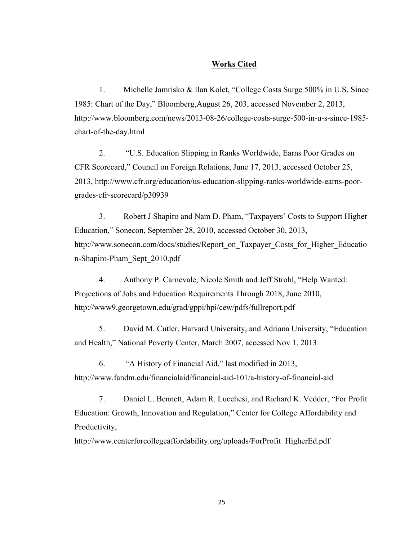#### **Works Cited**

1. Michelle Jamrisko & Ilan Kolet, "College Costs Surge 500% in U.S. Since 1985: Chart of the Day," Bloomberg,August 26, 203, accessed November 2, 2013, http://www.bloomberg.com/news/2013-08-26/college-costs-surge-500-in-u-s-since-1985 chart-of-the-day.html

2. "U.S. Education Slipping in Ranks Worldwide, Earns Poor Grades on CFR Scorecard," Council on Foreign Relations, June 17, 2013, accessed October 25, 2013, http://www.cfr.org/education/us-education-slipping-ranks-worldwide-earns-poorgrades-cfr-scorecard/p30939

3. Robert J Shapiro and Nam D. Pham, "Taxpayers' Costs to Support Higher Education," Sonecon, September 28, 2010, accessed October 30, 2013, http://www.sonecon.com/docs/studies/Report\_on\_Taxpayer\_Costs\_for\_Higher\_Educatio n-Shapiro-Pham\_Sept\_2010.pdf

4. Anthony P. Carnevale, Nicole Smith and Jeff Strohl, "Help Wanted: Projections of Jobs and Education Requirements Through 2018, June 2010, http://www9.georgetown.edu/grad/gppi/hpi/cew/pdfs/fullreport.pdf

5. David M. Cutler, Harvard University, and Adriana University, "Education and Health," National Poverty Center, March 2007, accessed Nov 1, 2013

6. "A History of Financial Aid," last modified in 2013, http://www.fandm.edu/financialaid/financial-aid-101/a-history-of-financial-aid

7. Daniel L. Bennett, Adam R. Lucchesi, and Richard K. Vedder, "For Profit Education: Growth, Innovation and Regulation," Center for College Affordability and Productivity,

http://www.centerforcollegeaffordability.org/uploads/ForProfit\_HigherEd.pdf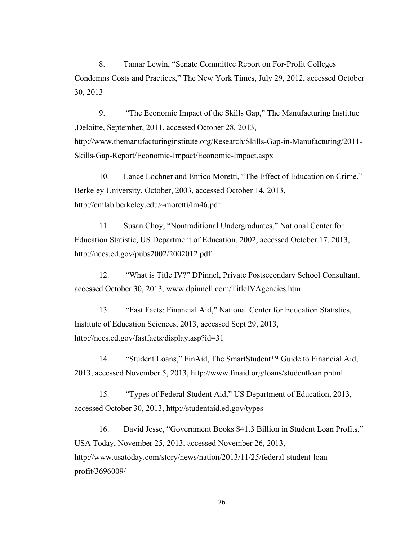8. Tamar Lewin, "Senate Committee Report on For-Profit Colleges Condemns Costs and Practices," The New York Times, July 29, 2012, accessed October 30, 2013

9. "The Economic Impact of the Skills Gap," The Manufacturing Instittue ,Deloitte, September, 2011, accessed October 28, 2013, http://www.themanufacturinginstitute.org/Research/Skills-Gap-in-Manufacturing/2011- Skills-Gap-Report/Economic-Impact/Economic-Impact.aspx

10. Lance Lochner and Enrico Moretti, "The Effect of Education on Crime," Berkeley University, October, 2003, accessed October 14, 2013, http://emlab.berkeley.edu/~moretti/lm46.pdf

11. Susan Choy, "Nontraditional Undergraduates," National Center for Education Statistic, US Department of Education, 2002, accessed October 17, 2013, http://nces.ed.gov/pubs2002/2002012.pdf

12. "What is Title IV?" DPinnel, Private Postsecondary School Consultant, accessed October 30, 2013, www.dpinnell.com/TitleIVAgencies.htm

13. "Fast Facts: Financial Aid," National Center for Education Statistics, Institute of Education Sciences, 2013, accessed Sept 29, 2013, http://nces.ed.gov/fastfacts/display.asp?id=31

14. "Student Loans," FinAid, The SmartStudent™ Guide to Financial Aid, 2013, accessed November 5, 2013, http://www.finaid.org/loans/studentloan.phtml

15. "Types of Federal Student Aid," US Department of Education, 2013, accessed October 30, 2013, http://studentaid.ed.gov/types

16. David Jesse, "Government Books \$41.3 Billion in Student Loan Profits," USA Today, November 25, 2013, accessed November 26, 2013, http://www.usatoday.com/story/news/nation/2013/11/25/federal-student-loanprofit/3696009/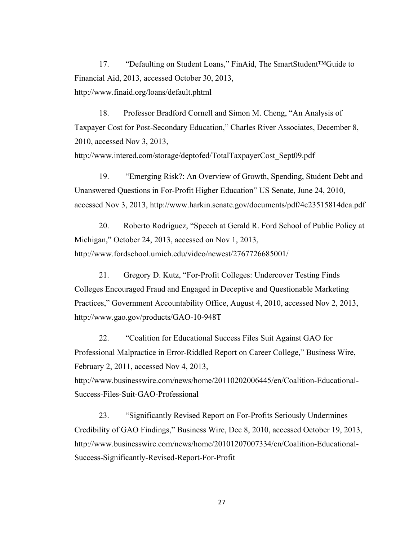17. "Defaulting on Student Loans," FinAid, The SmartStudent™Guide to Financial Aid, 2013, accessed October 30, 2013, http://www.finaid.org/loans/default.phtml

18. Professor Bradford Cornell and Simon M. Cheng, "An Analysis of Taxpayer Cost for Post-Secondary Education," Charles River Associates, December 8, 2010, accessed Nov 3, 2013, http://www.intered.com/storage/deptofed/TotalTaxpayerCost\_Sept09.pdf

19. "Emerging Risk?: An Overview of Growth, Spending, Student Debt and Unanswered Questions in For-Profit Higher Education" US Senate, June 24, 2010, accessed Nov 3, 2013, http://www.harkin.senate.gov/documents/pdf/4c23515814dca.pdf

20. Roberto Rodriguez, "Speech at Gerald R. Ford School of Public Policy at Michigan," October 24, 2013, accessed on Nov 1, 2013, http://www.fordschool.umich.edu/video/newest/2767726685001/

21. Gregory D. Kutz, "For-Profit Colleges: Undercover Testing Finds Colleges Encouraged Fraud and Engaged in Deceptive and Questionable Marketing Practices," Government Accountability Office, August 4, 2010, accessed Nov 2, 2013, http://www.gao.gov/products/GAO-10-948T

22. "Coalition for Educational Success Files Suit Against GAO for Professional Malpractice in Error-Riddled Report on Career College," Business Wire, February 2, 2011, accessed Nov 4, 2013,

http://www.businesswire.com/news/home/20110202006445/en/Coalition-Educational-Success-Files-Suit-GAO-Professional

23. "Significantly Revised Report on For-Profits Seriously Undermines Credibility of GAO Findings," Business Wire, Dec 8, 2010, accessed October 19, 2013, http://www.businesswire.com/news/home/20101207007334/en/Coalition-Educational-Success-Significantly-Revised-Report-For-Profit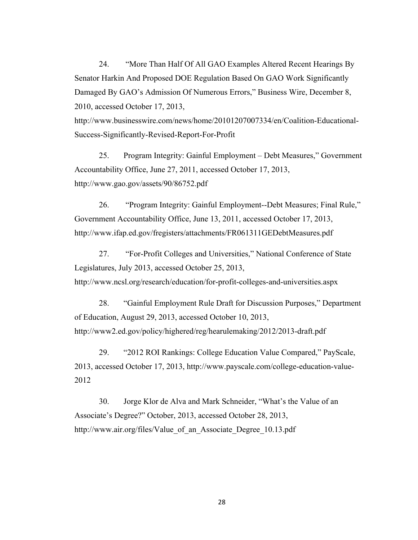24. "More Than Half Of All GAO Examples Altered Recent Hearings By Senator Harkin And Proposed DOE Regulation Based On GAO Work Significantly Damaged By GAO's Admission Of Numerous Errors," Business Wire, December 8, 2010, accessed October 17, 2013,

http://www.businesswire.com/news/home/20101207007334/en/Coalition-Educational-Success-Significantly-Revised-Report-For-Profit

25. Program Integrity: Gainful Employment – Debt Measures," Government Accountability Office, June 27, 2011, accessed October 17, 2013, http://www.gao.gov/assets/90/86752.pdf

26. "Program Integrity: Gainful Employment--Debt Measures; Final Rule," Government Accountability Office, June 13, 2011, accessed October 17, 2013, http://www.ifap.ed.gov/fregisters/attachments/FR061311GEDebtMeasures.pdf

27. "For-Profit Colleges and Universities," National Conference of State Legislatures, July 2013, accessed October 25, 2013, http://www.ncsl.org/research/education/for-profit-colleges-and-universities.aspx

28. "Gainful Employment Rule Draft for Discussion Purposes," Department of Education, August 29, 2013, accessed October 10, 2013, http://www2.ed.gov/policy/highered/reg/hearulemaking/2012/2013-draft.pdf

29. "2012 ROI Rankings: College Education Value Compared," PayScale, 2013, accessed October 17, 2013, http://www.payscale.com/college-education-value-2012

30. Jorge Klor de Alva and Mark Schneider, "What's the Value of an Associate's Degree?" October, 2013, accessed October 28, 2013, http://www.air.org/files/Value of an Associate Degree 10.13.pdf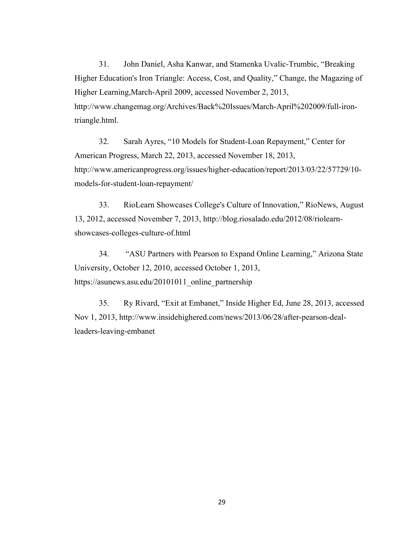31. John Daniel, Asha Kanwar, and Stamenka Uvalic-Trumbic, "Breaking Higher Education's Iron Triangle: Access, Cost, and Quality," Change, the Magazing of Higher Learning,March-April 2009, accessed November 2, 2013, http://www.changemag.org/Archives/Back%20Issues/March-April%202009/full-irontriangle.html.

32. Sarah Ayres, "10 Models for Student-Loan Repayment," Center for American Progress, March 22, 2013, accessed November 18, 2013, http://www.americanprogress.org/issues/higher-education/report/2013/03/22/57729/10 models-for-student-loan-repayment/

33. RioLearn Showcases College's Culture of Innovation," RioNews, August 13, 2012, accessed November 7, 2013, http://blog.riosalado.edu/2012/08/riolearnshowcases-colleges-culture-of.html

34. "ASU Partners with Pearson to Expand Online Learning," Arizona State University, October 12, 2010, accessed October 1, 2013, https://asunews.asu.edu/20101011\_online\_partnership

35. Ry Rivard, "Exit at Embanet," Inside Higher Ed, June 28, 2013, accessed Nov 1, 2013, http://www.insidehighered.com/news/2013/06/28/after-pearson-dealleaders-leaving-embanet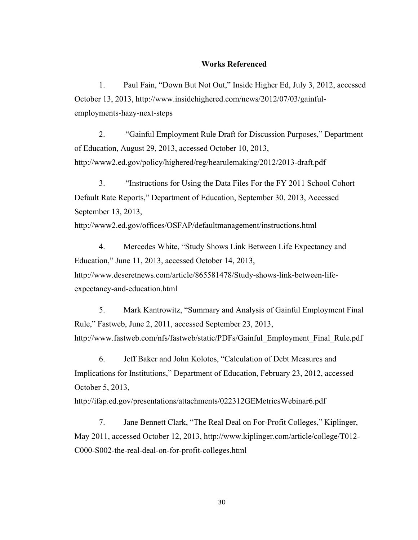#### **Works Referenced**

1. Paul Fain, "Down But Not Out," Inside Higher Ed, July 3, 2012, accessed October 13, 2013, http://www.insidehighered.com/news/2012/07/03/gainfulemployments-hazy-next-steps

2. "Gainful Employment Rule Draft for Discussion Purposes," Department of Education, August 29, 2013, accessed October 10, 2013, http://www2.ed.gov/policy/highered/reg/hearulemaking/2012/2013-draft.pdf

3. "Instructions for Using the Data Files For the FY 2011 School Cohort Default Rate Reports," Department of Education, September 30, 2013, Accessed September 13, 2013,

http://www2.ed.gov/offices/OSFAP/defaultmanagement/instructions.html

4. Mercedes White, "Study Shows Link Between Life Expectancy and Education," June 11, 2013, accessed October 14, 2013, http://www.deseretnews.com/article/865581478/Study-shows-link-between-lifeexpectancy-and-education.html

5. Mark Kantrowitz, "Summary and Analysis of Gainful Employment Final Rule," Fastweb, June 2, 2011, accessed September 23, 2013, http://www.fastweb.com/nfs/fastweb/static/PDFs/Gainful\_Employment\_Final\_Rule.pdf

6. Jeff Baker and John Kolotos, "Calculation of Debt Measures and Implications for Institutions," Department of Education, February 23, 2012, accessed October 5, 2013,

http://ifap.ed.gov/presentations/attachments/022312GEMetricsWebinar6.pdf

7. Jane Bennett Clark, "The Real Deal on For-Profit Colleges," Kiplinger, May 2011, accessed October 12, 2013, http://www.kiplinger.com/article/college/T012- C000-S002-the-real-deal-on-for-profit-colleges.html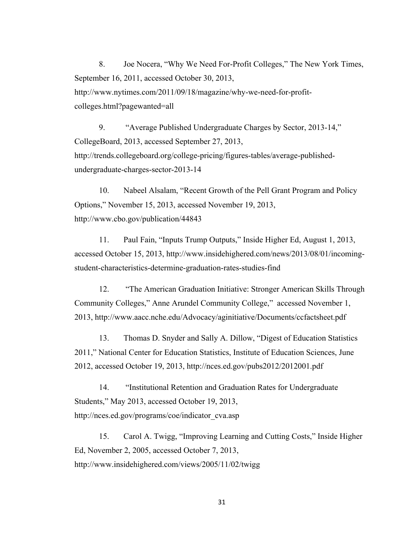8. Joe Nocera, "Why We Need For-Profit Colleges," The New York Times, September 16, 2011, accessed October 30, 2013, http://www.nytimes.com/2011/09/18/magazine/why-we-need-for-profitcolleges.html?pagewanted=all

9. "Average Published Undergraduate Charges by Sector, 2013-14," CollegeBoard, 2013, accessed September 27, 2013, http://trends.collegeboard.org/college-pricing/figures-tables/average-publishedundergraduate-charges-sector-2013-14

10. Nabeel Alsalam, "Recent Growth of the Pell Grant Program and Policy Options," November 15, 2013, accessed November 19, 2013, http://www.cbo.gov/publication/44843

11. Paul Fain, "Inputs Trump Outputs," Inside Higher Ed, August 1, 2013, accessed October 15, 2013, http://www.insidehighered.com/news/2013/08/01/incomingstudent-characteristics-determine-graduation-rates-studies-find

12. "The American Graduation Initiative: Stronger American Skills Through Community Colleges," Anne Arundel Community College," accessed November 1, 2013, http://www.aacc.nche.edu/Advocacy/aginitiative/Documents/ccfactsheet.pdf

13. Thomas D. Snyder and Sally A. Dillow, "Digest of Education Statistics 2011," National Center for Education Statistics, Institute of Education Sciences, June 2012, accessed October 19, 2013, http://nces.ed.gov/pubs2012/2012001.pdf

14. "Institutional Retention and Graduation Rates for Undergraduate Students," May 2013, accessed October 19, 2013, http://nces.ed.gov/programs/coe/indicator\_cva.asp

15. Carol A. Twigg, "Improving Learning and Cutting Costs," Inside Higher Ed, November 2, 2005, accessed October 7, 2013, http://www.insidehighered.com/views/2005/11/02/twigg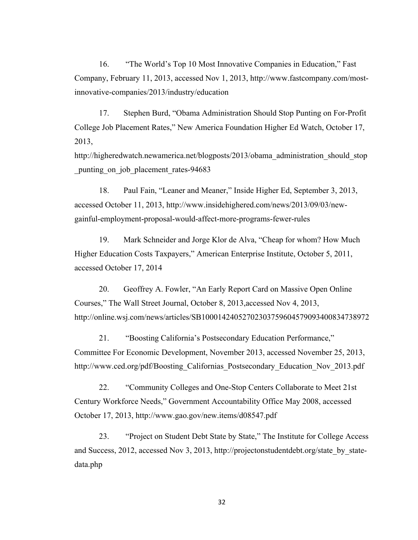16. "The World's Top 10 Most Innovative Companies in Education," Fast Company, February 11, 2013, accessed Nov 1, 2013, http://www.fastcompany.com/mostinnovative-companies/2013/industry/education

17. Stephen Burd, "Obama Administration Should Stop Punting on For-Profit College Job Placement Rates," New America Foundation Higher Ed Watch, October 17, 2013,

http://higheredwatch.newamerica.net/blogposts/2013/obama\_administration\_should\_stop punting on job placement rates-94683

18. Paul Fain, "Leaner and Meaner," Inside Higher Ed, September 3, 2013, accessed October 11, 2013, http://www.insidehighered.com/news/2013/09/03/newgainful-employment-proposal-would-affect-more-programs-fewer-rules

19. Mark Schneider and Jorge Klor de Alva, "Cheap for whom? How Much Higher Education Costs Taxpayers," American Enterprise Institute, October 5, 2011, accessed October 17, 2014

20. Geoffrey A. Fowler, "An Early Report Card on Massive Open Online Courses," The Wall Street Journal, October 8, 2013,accessed Nov 4, 2013, http://online.wsj.com/news/articles/SB10001424052702303759604579093400834738972

21. "Boosting California's Postsecondary Education Performance," Committee For Economic Development, November 2013, accessed November 25, 2013, http://www.ced.org/pdf/Boosting\_Californias\_Postsecondary\_Education\_Nov\_2013.pdf

22. "Community Colleges and One-Stop Centers Collaborate to Meet 21st Century Workforce Needs," Government Accountability Office May 2008, accessed October 17, 2013, http://www.gao.gov/new.items/d08547.pdf

23. "Project on Student Debt State by State," The Institute for College Access and Success, 2012, accessed Nov 3, 2013, http://projectonstudentdebt.org/state\_by\_statedata.php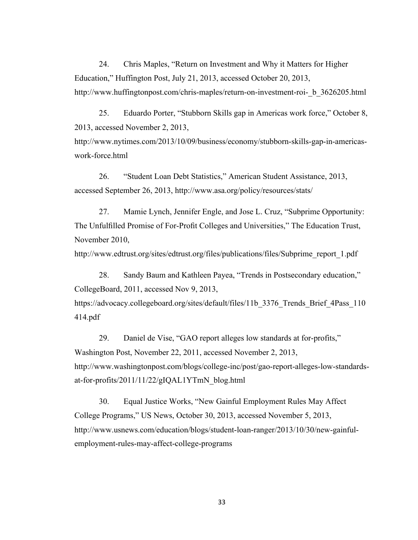24. Chris Maples, "Return on Investment and Why it Matters for Higher Education," Huffington Post, July 21, 2013, accessed October 20, 2013, http://www.huffingtonpost.com/chris-maples/return-on-investment-roi- b\_3626205.html

25. Eduardo Porter, "Stubborn Skills gap in Americas work force," October 8, 2013, accessed November 2, 2013,

http://www.nytimes.com/2013/10/09/business/economy/stubborn-skills-gap-in-americaswork-force.html

26. "Student Loan Debt Statistics," American Student Assistance, 2013, accessed September 26, 2013, http://www.asa.org/policy/resources/stats/

27. Mamie Lynch, Jennifer Engle, and Jose L. Cruz, "Subprime Opportunity: The Unfulfilled Promise of For-Profit Colleges and Universities," The Education Trust, November 2010,

http://www.edtrust.org/sites/edtrust.org/files/publications/files/Subprime\_report\_1.pdf

28. Sandy Baum and Kathleen Payea, "Trends in Postsecondary education," CollegeBoard, 2011, accessed Nov 9, 2013,

https://advocacy.collegeboard.org/sites/default/files/11b 3376 Trends Brief 4Pass 110 414.pdf

29. Daniel de Vise, "GAO report alleges low standards at for-profits," Washington Post, November 22, 2011, accessed November 2, 2013, http://www.washingtonpost.com/blogs/college-inc/post/gao-report-alleges-low-standardsat-for-profits/2011/11/22/gIQAL1YTmN\_blog.html

30. Equal Justice Works, "New Gainful Employment Rules May Affect College Programs," US News, October 30, 2013, accessed November 5, 2013, http://www.usnews.com/education/blogs/student-loan-ranger/2013/10/30/new-gainfulemployment-rules-may-affect-college-programs